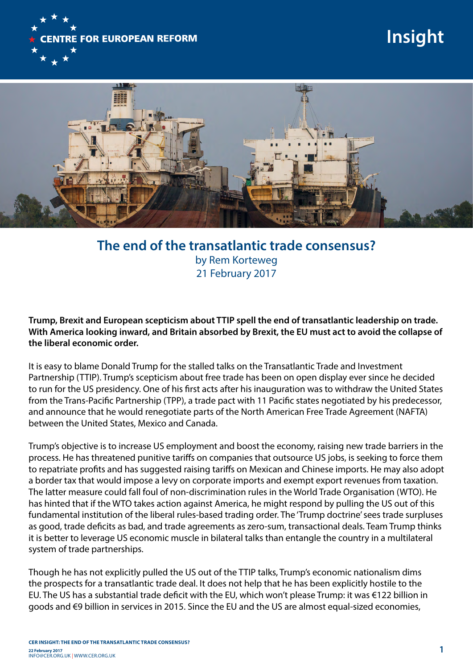

## **Insight**



**The end of the transatlantic trade consensus?** by Rem Korteweg 21 February 2017

**Trump, Brexit and European scepticism about TTIP spell the end of transatlantic leadership on trade. With America looking inward, and Britain absorbed by Brexit, the EU must act to avoid the collapse of the liberal economic order.** 

It is easy to blame Donald Trump for the stalled talks on the Transatlantic Trade and Investment Partnership (TTIP). Trump's scepticism about free trade has been on open display ever since he decided to run for the US presidency. One of his first acts after his inauguration was to withdraw the United States from the Trans-Pacific Partnership (TPP), a trade pact with 11 Pacific states negotiated by his predecessor, and announce that he would renegotiate parts of the North American Free Trade Agreement (NAFTA) between the United States, Mexico and Canada.

Trump's objective is to increase US employment and boost the economy, raising new trade barriers in the process. He has threatened punitive tariffs on companies that outsource US jobs, is seeking to force them to repatriate profits and has suggested raising tariffs on Mexican and Chinese imports. He may also adopt a border tax that would impose a levy on corporate imports and exempt export revenues from taxation. The latter measure could fall foul of non-discrimination rules in the World Trade Organisation (WTO). He has hinted that if the WTO takes action against America, he might respond by pulling the US out of this fundamental institution of the liberal rules-based trading order. The 'Trump doctrine' sees trade surpluses as good, trade deficits as bad, and trade agreements as zero-sum, transactional deals. Team Trump thinks it is better to leverage US economic muscle in bilateral talks than entangle the country in a multilateral system of trade partnerships.

Though he has not explicitly pulled the US out of the TTIP talks, Trump's economic nationalism dims the prospects for a transatlantic trade deal. It does not help that he has been explicitly hostile to the EU. The US has a substantial trade deficit with the EU, which won't please Trump: it was €122 billion in goods and €9 billion in services in 2015. Since the EU and the US are almost equal-sized economies,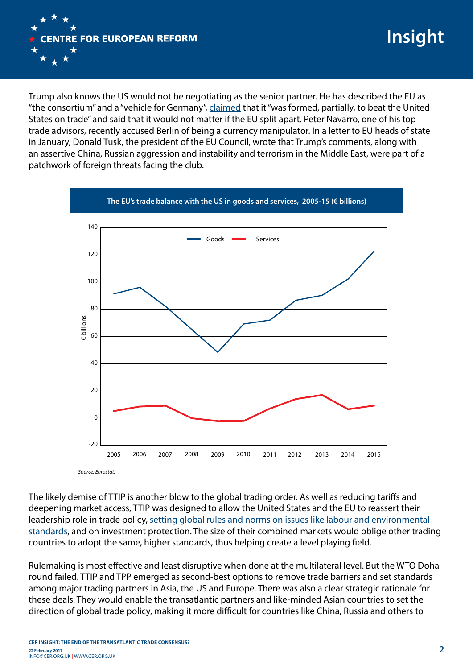

Trump also knows the US would not be negotiating as the senior partner. He has described the EU as "the consortium" and a "vehicle for Germany", [claimed](http://www.thetimes.co.uk/article/full-transcript-of-interview-with-donald-trump-5d39sr09d) that it "was formed, partially, to beat the United States on trade" and said that it would not matter if the EU split apart. Peter Navarro, one of his top trade advisors, recently accused Berlin of being a currency manipulator. In a letter to EU heads of state in January, Donald Tusk, the president of the EU Council, wrote that Trump's comments, along with an assertive China, Russian aggression and instability and terrorism in the Middle East, were part of a patchwork of foreign threats facing the club.



The likely demise of TTIP is another blow to the global trading order. As well as reducing tariffs and deepening market access, TTIP was designed to allow the United States and the EU to reassert their leadership role in trade policy, [setting global rules and norms on issues like labour and environmental](https://www.cer.org.uk/publications/archive/policy-brief/2016/shaping-21st-century-trade-ttip-global-standards-and)  [standards,](https://www.cer.org.uk/publications/archive/policy-brief/2016/shaping-21st-century-trade-ttip-global-standards-and) and on investment protection. The size of their combined markets would oblige other trading countries to adopt the same, higher standards, thus helping create a level playing field.

Rulemaking is most effective and least disruptive when done at the multilateral level. But the WTO Doha round failed. TTIP and TPP emerged as second-best options to remove trade barriers and set standards among major trading partners in Asia, the US and Europe. There was also a clear strategic rationale for these deals. They would enable the transatlantic partners and like-minded Asian countries to set the direction of global trade policy, making it more difficult for countries like China, Russia and others to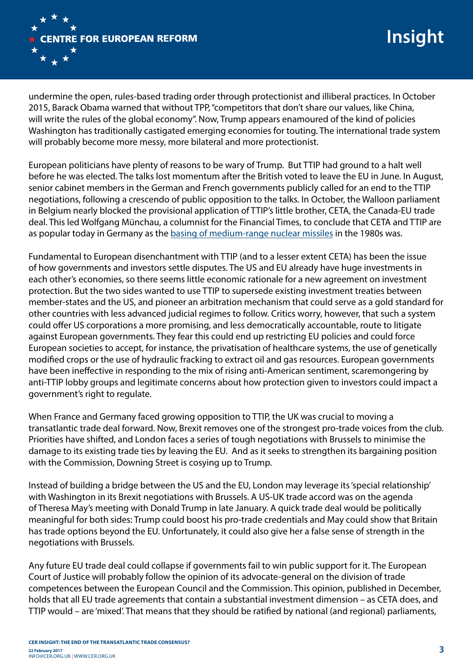

undermine the open, rules-based trading order through protectionist and illiberal practices. In October 2015, Barack Obama warned that without TPP, "competitors that don't share our values, like China, will write the rules of the global economy". Now, Trump appears enamoured of the kind of policies Washington has traditionally castigated emerging economies for touting. The international trade system will probably become more messy, more bilateral and more protectionist.

European politicians have plenty of reasons to be wary of Trump. But TTIP had ground to a halt well before he was elected. The talks lost momentum after the British voted to leave the EU in June. In August, senior cabinet members in the German and French governments publicly called for an end to the TTIP negotiations, following a crescendo of public opposition to the talks. In October, the Walloon parliament in Belgium nearly blocked the provisional application of TTIP's little brother, CETA, the Canada-EU trade deal. This led Wolfgang Münchau, a columnist for the Financial Times, to conclude that CETA and TTIP are as popular today in Germany as the [basing of medium-range nuclear missiles](https://www.ft.com/content/6f72f64e-9218-11e6-8df8-d3778b55a923) in the 1980s was.

Fundamental to European disenchantment with TTIP (and to a lesser extent CETA) has been the issue of how governments and investors settle disputes. The US and EU already have huge investments in each other's economies, so there seems little economic rationale for a new agreement on investment protection. But the two sides wanted to use TTIP to supersede existing investment treaties between member-states and the US, and pioneer an arbitration mechanism that could serve as a gold standard for other countries with less advanced judicial regimes to follow. Critics worry, however, that such a system could offer US corporations a more promising, and less democratically accountable, route to litigate against European governments. They fear this could end up restricting EU policies and could force European societies to accept, for instance, the privatisation of healthcare systems, the use of genetically modified crops or the use of hydraulic fracking to extract oil and gas resources. European governments have been ineffective in responding to the mix of rising anti-American sentiment, scaremongering by anti-TTIP lobby groups and legitimate concerns about how protection given to investors could impact a government's right to regulate.

When France and Germany faced growing opposition to TTIP, the UK was crucial to moving a transatlantic trade deal forward. Now, Brexit removes one of the strongest pro-trade voices from the club. Priorities have shifted, and London faces a series of tough negotiations with Brussels to minimise the damage to its existing trade ties by leaving the EU. And as it seeks to strengthen its bargaining position with the Commission, Downing Street is cosying up to Trump.

Instead of building a bridge between the US and the EU, London may leverage its 'special relationship' with Washington in its Brexit negotiations with Brussels. A US-UK trade accord was on the agenda of Theresa May's meeting with Donald Trump in late January. A quick trade deal would be politically meaningful for both sides: Trump could boost his pro-trade credentials and May could show that Britain has trade options beyond the EU. Unfortunately, it could also give her a false sense of strength in the negotiations with Brussels.

Any future EU trade deal could collapse if governments fail to win public support for it. The European Court of Justice will probably follow the opinion of its advocate-general on the division of trade competences between the European Council and the Commission. This opinion, published in December, holds that all EU trade agreements that contain a substantial investment dimension – as CETA does, and TTIP would – are 'mixed'. That means that they should be ratified by national (and regional) parliaments,